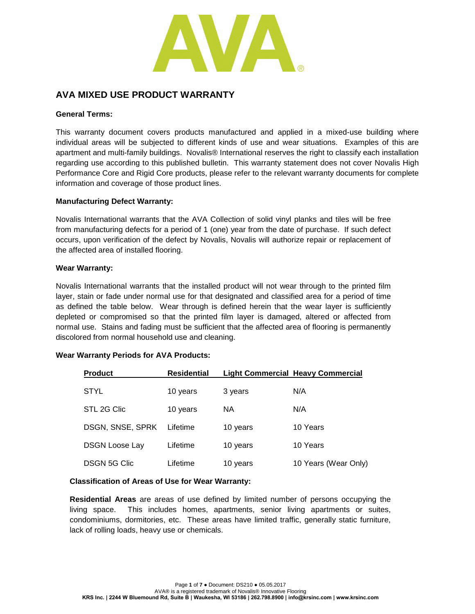

# **AVA MIXED USE PRODUCT WARRANTY**

#### **General Terms:**

This warranty document covers products manufactured and applied in a mixed-use building where individual areas will be subjected to different kinds of use and wear situations. Examples of this are apartment and multi-family buildings. Novalis® International reserves the right to classify each installation regarding use according to this published bulletin. This warranty statement does not cover Novalis High Performance Core and Rigid Core products, please refer to the relevant warranty documents for complete information and coverage of those product lines.

### **Manufacturing Defect Warranty:**

Novalis International warrants that the AVA Collection of solid vinyl planks and tiles will be free from manufacturing defects for a period of 1 (one) year from the date of purchase. If such defect occurs, upon verification of the defect by Novalis, Novalis will authorize repair or replacement of the affected area of installed flooring.

### **Wear Warranty:**

Novalis International warrants that the installed product will not wear through to the printed film layer, stain or fade under normal use for that designated and classified area for a period of time as defined the table below. Wear through is defined herein that the wear layer is sufficiently depleted or compromised so that the printed film layer is damaged, altered or affected from normal use. Stains and fading must be sufficient that the affected area of flooring is permanently discolored from normal household use and cleaning.

# **Wear Warranty Periods for AVA Products:**

| <b>Product</b>        | <b>Residential</b> |           | <b>Light Commercial Heavy Commercial</b> |
|-----------------------|--------------------|-----------|------------------------------------------|
| <b>STYL</b>           | 10 years           | 3 years   | N/A                                      |
| STL 2G Clic           | 10 years           | <b>NA</b> | N/A                                      |
| DSGN, SNSE, SPRK      | Lifetime           | 10 years  | 10 Years                                 |
| <b>DSGN Loose Lay</b> | Lifetime           | 10 years  | 10 Years                                 |
| <b>DSGN 5G Clic</b>   | Lifetime           | 10 years  | 10 Years (Wear Only)                     |

#### **Classification of Areas of Use for Wear Warranty:**

**Residential Areas** are areas of use defined by limited number of persons occupying the living space. This includes homes, apartments, senior living apartments or suites, condominiums, dormitories, etc. These areas have limited traffic, generally static furniture, lack of rolling loads, heavy use or chemicals.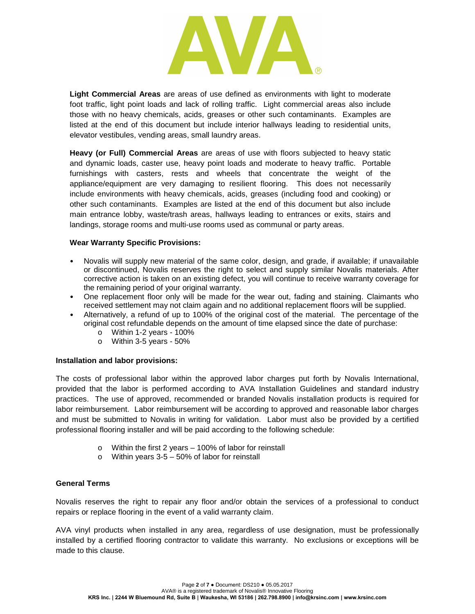

**Light Commercial Areas** are areas of use defined as environments with light to moderate foot traffic, light point loads and lack of rolling traffic. Light commercial areas also include those with no heavy chemicals, acids, greases or other such contaminants. Examples are listed at the end of this document but include interior hallways leading to residential units, elevator vestibules, vending areas, small laundry areas.

**Heavy (or Full) Commercial Areas** are areas of use with floors subjected to heavy static and dynamic loads, caster use, heavy point loads and moderate to heavy traffic. Portable furnishings with casters, rests and wheels that concentrate the weight of the appliance/equipment are very damaging to resilient flooring. This does not necessarily include environments with heavy chemicals, acids, greases (including food and cooking) or other such contaminants. Examples are listed at the end of this document but also include main entrance lobby, waste/trash areas, hallways leading to entrances or exits, stairs and landings, storage rooms and multi-use rooms used as communal or party areas.

#### **Wear Warranty Specific Provisions:**

- Novalis will supply new material of the same color, design, and grade, if available; if unavailable or discontinued, Novalis reserves the right to select and supply similar Novalis materials. After corrective action is taken on an existing defect, you will continue to receive warranty coverage for the remaining period of your original warranty.
- One replacement floor only will be made for the wear out, fading and staining. Claimants who received settlement may not claim again and no additional replacement floors will be supplied.
- Alternatively, a refund of up to 100% of the original cost of the material. The percentage of the original cost refundable depends on the amount of time elapsed since the date of purchase:
	- $\circ$  Within 1-2 years 100%
	- o Within 3-5 years 50%

#### **Installation and labor provisions:**

The costs of professional labor within the approved labor charges put forth by Novalis International, provided that the labor is performed according to AVA Installation Guidelines and standard industry practices. The use of approved, recommended or branded Novalis installation products is required for labor reimbursement. Labor reimbursement will be according to approved and reasonable labor charges and must be submitted to Novalis in writing for validation. Labor must also be provided by a certified professional flooring installer and will be paid according to the following schedule:

- o Within the first 2 years 100% of labor for reinstall
- o Within years 3-5 50% of labor for reinstall

# **General Terms**

Novalis reserves the right to repair any floor and/or obtain the services of a professional to conduct repairs or replace flooring in the event of a valid warranty claim.

AVA vinyl products when installed in any area, regardless of use designation, must be professionally installed by a certified flooring contractor to validate this warranty. No exclusions or exceptions will be made to this clause.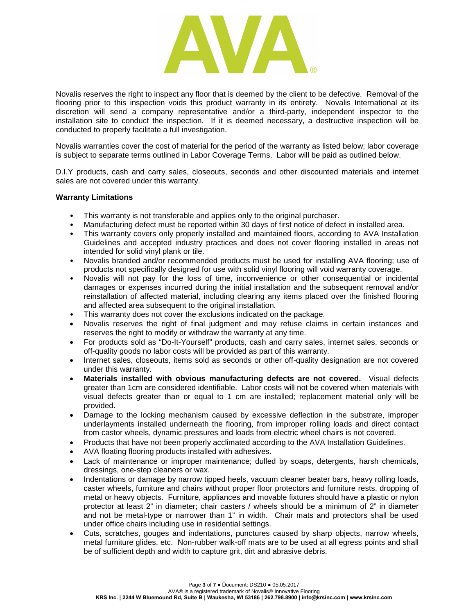

Novalis reserves the right to inspect any floor that is deemed by the client to be defective. Removal of the flooring prior to this inspection voids this product warranty in its entirety. Novalis International at its discretion will send a company representative and/or a third-party, independent inspector to the installation site to conduct the inspection. If it is deemed necessary, a destructive inspection will be conducted to properly facilitate a full investigation.

Novalis warranties cover the cost of material for the period of the warranty as listed below; labor coverage is subject to separate terms outlined in Labor Coverage Terms. Labor will be paid as outlined below.

D.I.Y products, cash and carry sales, closeouts, seconds and other discounted materials and internet sales are not covered under this warranty.

#### **Warranty Limitations**

- This warranty is not transferable and applies only to the original purchaser.
- Manufacturing defect must be reported within 30 days of first notice of defect in installed area.
- This warranty covers only properly installed and maintained floors, according to AVA Installation Guidelines and accepted industry practices and does not cover flooring installed in areas not intended for solid vinyl plank or tile.
- Novalis branded and/or recommended products must be used for installing AVA flooring; use of products not specifically designed for use with solid vinyl flooring will void warranty coverage.
- Novalis will not pay for the loss of time, inconvenience or other consequential or incidental damages or expenses incurred during the initial installation and the subsequent removal and/or reinstallation of affected material, including clearing any items placed over the finished flooring and affected area subsequent to the original installation.
- This warranty does not cover the exclusions indicated on the package.
- Novalis reserves the right of final judgment and may refuse claims in certain instances and reserves the right to modify or withdraw the warranty at any time.
- For products sold as "Do-It-Yourself" products, cash and carry sales, internet sales, seconds or off-quality goods no labor costs will be provided as part of this warranty.
- Internet sales, closeouts, items sold as seconds or other off-quality designation are not covered under this warranty.
- **Materials installed with obvious manufacturing defects are not covered.** Visual defects greater than 1cm are considered identifiable. Labor costs will not be covered when materials with visual defects greater than or equal to 1 cm are installed; replacement material only will be provided.
- Damage to the locking mechanism caused by excessive deflection in the substrate, improper underlayments installed underneath the flooring, from improper rolling loads and direct contact from castor wheels, dynamic pressures and loads from electric wheel chairs is not covered.
- Products that have not been properly acclimated according to the AVA Installation Guidelines.
- AVA floating flooring products installed with adhesives.
- Lack of maintenance or improper maintenance; dulled by soaps, detergents, harsh chemicals, dressings, one-step cleaners or wax.
- Indentations or damage by narrow tipped heels, vacuum cleaner beater bars, heavy rolling loads, caster wheels, furniture and chairs without proper floor protectors and furniture rests, dropping of metal or heavy objects. Furniture, appliances and movable fixtures should have a plastic or nylon protector at least 2" in diameter; chair casters / wheels should be a minimum of 2" in diameter and not be metal-type or narrower than 1" in width. Chair mats and protectors shall be used under office chairs including use in residential settings.
- Cuts, scratches, gouges and indentations, punctures caused by sharp objects, narrow wheels, metal furniture glides, etc. Non-rubber walk-off mats are to be used at all egress points and shall be of sufficient depth and width to capture grit, dirt and abrasive debris.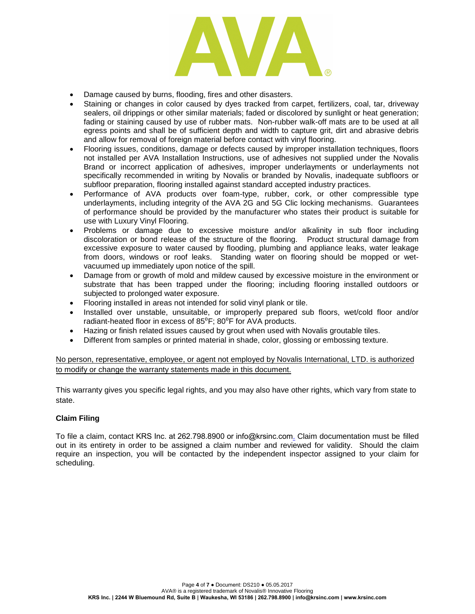

- Damage caused by burns, flooding, fires and other disasters.
- Staining or changes in color caused by dyes tracked from carpet, fertilizers, coal, tar, driveway sealers, oil drippings or other similar materials; faded or discolored by sunlight or heat generation; fading or staining caused by use of rubber mats. Non-rubber walk-off mats are to be used at all egress points and shall be of sufficient depth and width to capture grit, dirt and abrasive debris and allow for removal of foreign material before contact with vinyl flooring.
- Flooring issues, conditions, damage or defects caused by improper installation techniques, floors not installed per AVA Installation Instructions, use of adhesives not supplied under the Novalis Brand or incorrect application of adhesives, improper underlayments or underlayments not specifically recommended in writing by Novalis or branded by Novalis, inadequate subfloors or subfloor preparation, flooring installed against standard accepted industry practices.
- Performance of AVA products over foam-type, rubber, cork, or other compressible type underlayments, including integrity of the AVA 2G and 5G Clic locking mechanisms. Guarantees of performance should be provided by the manufacturer who states their product is suitable for use with Luxury Vinyl Flooring.
- Problems or damage due to excessive moisture and/or alkalinity in sub floor including discoloration or bond release of the structure of the flooring. Product structural damage from excessive exposure to water caused by flooding, plumbing and appliance leaks, water leakage from doors, windows or roof leaks. Standing water on flooring should be mopped or wetvacuumed up immediately upon notice of the spill.
- Damage from or growth of mold and mildew caused by excessive moisture in the environment or substrate that has been trapped under the flooring; including flooring installed outdoors or subjected to prolonged water exposure.
- Flooring installed in areas not intended for solid vinyl plank or tile.
- Installed over unstable, unsuitable, or improperly prepared sub floors, wet/cold floor and/or radiant-heated floor in excess of 85<sup>°</sup>F; 80<sup>°</sup>F for AVA products.
- Hazing or finish related issues caused by grout when used with Novalis groutable tiles.
- Different from samples or printed material in shade, color, glossing or embossing texture.

No person, representative, employee, or agent not employed by Novalis International, LTD. is authorized to modify or change the warranty statements made in this document.

This warranty gives you specific legal rights, and you may also have other rights, which vary from state to state.

# **Claim Filing**

To file a claim, contact [KRS Inc. at 262.798.8900 or info@krsinc.com](mailto:claims_support@avaflor.com). Claim documentation must be filled out in its entirety in order to be assigned a claim number and reviewed for validity. Should the claim require an inspection, you will be contacted by the independent inspector assigned to your claim for scheduling.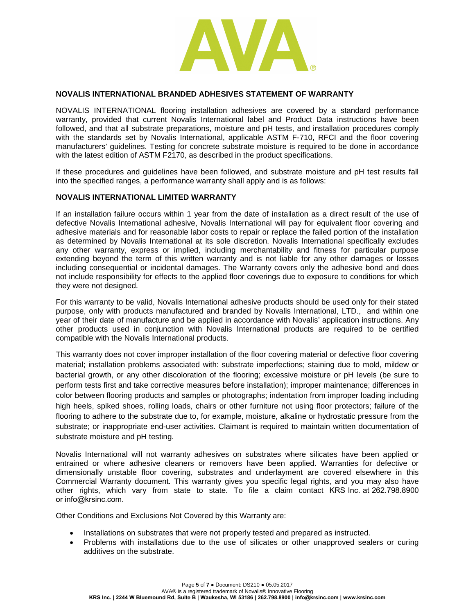

#### **NOVALIS INTERNATIONAL BRANDED ADHESIVES STATEMENT OF WARRANTY**

NOVALIS INTERNATIONAL flooring installation adhesives are covered by a standard performance warranty, provided that current Novalis International label and Product Data instructions have been followed, and that all substrate preparations, moisture and pH tests, and installation procedures comply with the standards set by Novalis International, applicable ASTM F-710, RFCI and the floor covering manufacturers' guidelines. Testing for concrete substrate moisture is required to be done in accordance with the latest edition of ASTM F2170, as described in the product specifications.

If these procedures and guidelines have been followed, and substrate moisture and pH test results fall into the specified ranges, a performance warranty shall apply and is as follows:

#### **NOVALIS INTERNATIONAL LIMITED WARRANTY**

If an installation failure occurs within 1 year from the date of installation as a direct result of the use of defective Novalis International adhesive, Novalis International will pay for equivalent floor covering and adhesive materials and for reasonable labor costs to repair or replace the failed portion of the installation as determined by Novalis International at its sole discretion. Novalis International specifically excludes any other warranty, express or implied, including merchantability and fitness for particular purpose extending beyond the term of this written warranty and is not liable for any other damages or losses including consequential or incidental damages. The Warranty covers only the adhesive bond and does not include responsibility for effects to the applied floor coverings due to exposure to conditions for which they were not designed.

For this warranty to be valid, Novalis International adhesive products should be used only for their stated purpose, only with products manufactured and branded by Novalis International, LTD., and within one year of their date of manufacture and be applied in accordance with Novalis' application instructions. Any other products used in conjunction with Novalis International products are required to be certified compatible with the Novalis International products.

This warranty does not cover improper installation of the floor covering material or defective floor covering material; installation problems associated with: substrate imperfections; staining due to mold, mildew or bacterial growth, or any other discoloration of the flooring; excessive moisture or pH levels (be sure to perform tests first and take corrective measures before installation); improper maintenance; differences in color between flooring products and samples or photographs; indentation from improper loading including high heels, spiked shoes, rolling loads, chairs or other furniture not using floor protectors; failure of the flooring to adhere to the substrate due to, for example, moisture, alkaline or hydrostatic pressure from the substrate; or inappropriate end-user activities. Claimant is required to maintain written documentation of substrate moisture and pH testing.

Novalis International will not warranty adhesives on substrates where silicates have been applied or entrained or where adhesive cleaners or removers have been applied. Warranties for defective or dimensionally unstable floor covering, substrates and underlayment are covered elsewhere in this Commercial Warranty document. This warranty gives you specific legal rights, and you may also have other rights, which vary from state to state. To file a claim contact KRS Inc. at 262.798.8900 [or info@krsinc.com](mailto:claims_support@avaflor.com).

Other Conditions and Exclusions Not Covered by this Warranty are:

- Installations on substrates that were not properly tested and prepared as instructed.
- Problems with installations due to the use of silicates or other unapproved sealers or curing additives on the substrate.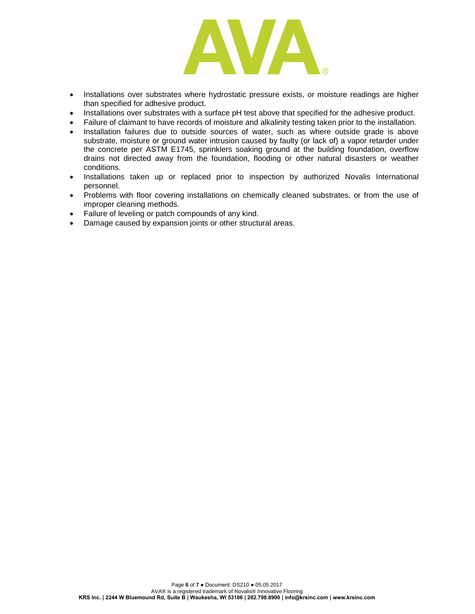

- Installations over substrates where hydrostatic pressure exists, or moisture readings are higher than specified for adhesive product.
- Installations over substrates with a surface pH test above that specified for the adhesive product.
- Failure of claimant to have records of moisture and alkalinity testing taken prior to the installation.
- Installation failures due to outside sources of water, such as where outside grade is above substrate, moisture or ground water intrusion caused by faulty (or lack of) a vapor retarder under the concrete per ASTM E1745, sprinklers soaking ground at the building foundation, overflow drains not directed away from the foundation, flooding or other natural disasters or weather conditions.
- Installations taken up or replaced prior to inspection by authorized Novalis International personnel.
- Problems with floor covering installations on chemically cleaned substrates, or from the use of improper cleaning methods.
- Failure of leveling or patch compounds of any kind.
- Damage caused by expansion joints or other structural areas.